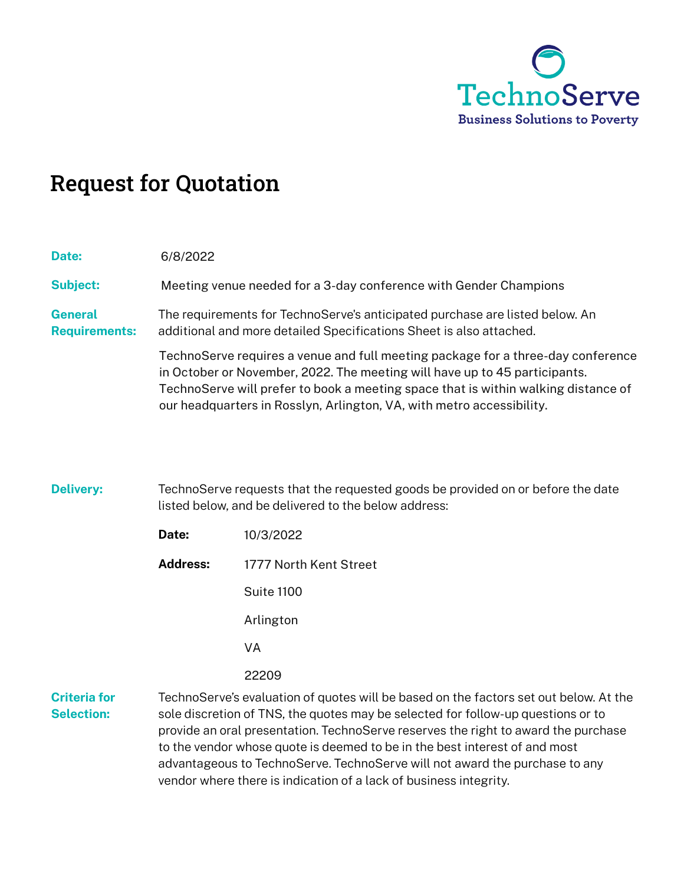

# Request for Quotation

| Date:                                  | 6/8/2022                                                                                                                                                                                                                                                                                                                                                                                                                                                                             |                        |  |
|----------------------------------------|--------------------------------------------------------------------------------------------------------------------------------------------------------------------------------------------------------------------------------------------------------------------------------------------------------------------------------------------------------------------------------------------------------------------------------------------------------------------------------------|------------------------|--|
| <b>Subject:</b>                        | Meeting venue needed for a 3-day conference with Gender Champions                                                                                                                                                                                                                                                                                                                                                                                                                    |                        |  |
| <b>General</b><br><b>Requirements:</b> | The requirements for TechnoServe's anticipated purchase are listed below. An<br>additional and more detailed Specifications Sheet is also attached.<br>TechnoServe requires a venue and full meeting package for a three-day conference<br>in October or November, 2022. The meeting will have up to 45 participants.<br>TechnoServe will prefer to book a meeting space that is within walking distance of<br>our headquarters in Rosslyn, Arlington, VA, with metro accessibility. |                        |  |
|                                        |                                                                                                                                                                                                                                                                                                                                                                                                                                                                                      |                        |  |
| <b>Delivery:</b>                       | TechnoServe requests that the requested goods be provided on or before the date<br>listed below, and be delivered to the below address:                                                                                                                                                                                                                                                                                                                                              |                        |  |
|                                        | Date:                                                                                                                                                                                                                                                                                                                                                                                                                                                                                | 10/3/2022              |  |
|                                        | <b>Address:</b>                                                                                                                                                                                                                                                                                                                                                                                                                                                                      | 1777 North Kent Street |  |
|                                        |                                                                                                                                                                                                                                                                                                                                                                                                                                                                                      | Suite 1100             |  |
|                                        |                                                                                                                                                                                                                                                                                                                                                                                                                                                                                      | Arlington              |  |
|                                        |                                                                                                                                                                                                                                                                                                                                                                                                                                                                                      | VA                     |  |
|                                        |                                                                                                                                                                                                                                                                                                                                                                                                                                                                                      | 22209                  |  |

**Criteria for Selection:** TechnoServe's evaluation of quotes will be based on the factors set out below. At the sole discretion of TNS, the quotes may be selected for follow-up questions or to provide an oral presentation. TechnoServe reserves the right to award the purchase to the vendor whose quote is deemed to be in the best interest of and most advantageous to TechnoServe. TechnoServe will not award the purchase to any vendor where there is indication of a lack of business integrity.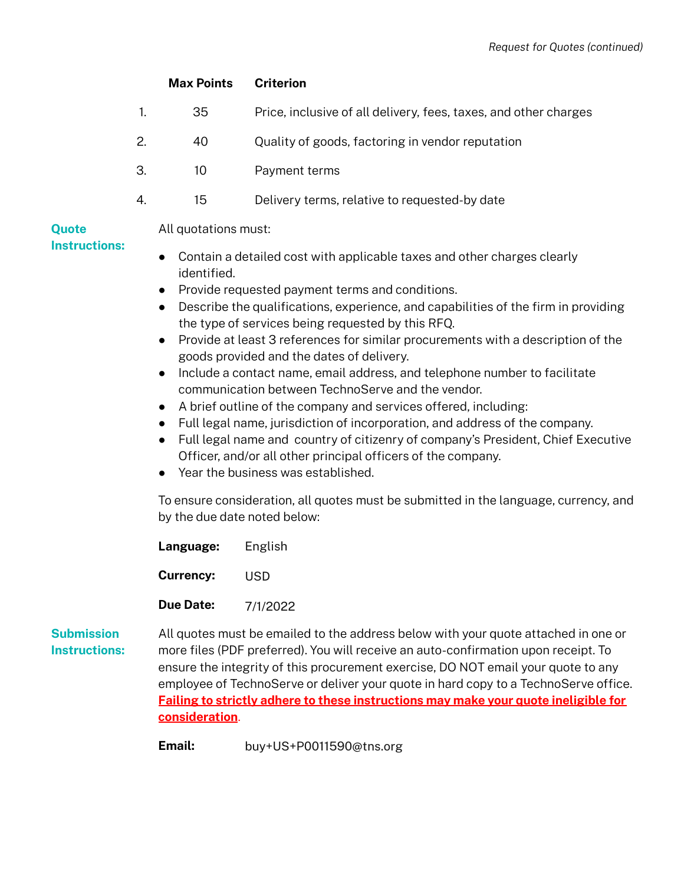# *Request for Quotes (continued)*

|                      | <b>Max Points</b> | <b>Criterion</b>                                                 |  |  |
|----------------------|-------------------|------------------------------------------------------------------|--|--|
|                      | 35                | Price, inclusive of all delivery, fees, taxes, and other charges |  |  |
| 2.                   | 40                | Quality of goods, factoring in vendor reputation                 |  |  |
| 3.                   | 10                | Payment terms                                                    |  |  |
| 4.                   | 15                | Delivery terms, relative to requested-by date                    |  |  |
| All quotations must: |                   |                                                                  |  |  |

# **Quote Instructions:**

- Contain a detailed cost with applicable taxes and other charges clearly identified.
- Provide requested payment terms and conditions.
- Describe the qualifications, experience, and capabilities of the firm in providing the type of services being requested by this RFQ.
- Provide at least 3 references for similar procurements with a description of the goods provided and the dates of delivery.
- Include a contact name, email address, and telephone number to facilitate communication between TechnoServe and the vendor.
- A brief outline of the company and services offered, including:
- Full legal name, jurisdiction of incorporation, and address of the company.
- Full legal name and country of citizenry of company's President, Chief Executive Officer, and/or all other principal officers of the company.
- Year the business was established.

To ensure consideration, all quotes must be submitted in the language, currency, and by the due date noted below:

| Language:        | English  |
|------------------|----------|
| <b>Currency:</b> | USD      |
| <b>Due Date:</b> | 7/1/2022 |

**Submission Instructions:** All quotes must be emailed to the address below with your quote attached in one or more files (PDF preferred). You will receive an auto-confirmation upon receipt. To ensure the integrity of this procurement exercise, DO NOT email your quote to any employee of TechnoServe or deliver your quote in hard copy to a TechnoServe office. **Failing to strictly adhere to these instructions may make your quote ineligible for consideration**. USD<br>7/1/2022<br>: be emailed to the address b<br>preferred). You will receive a<br>grity of this procurement exe<br>chnoServe or deliver your qu<br>tly adhere to these instructi<br>buy+US+P0011590@tns.org

**Email:**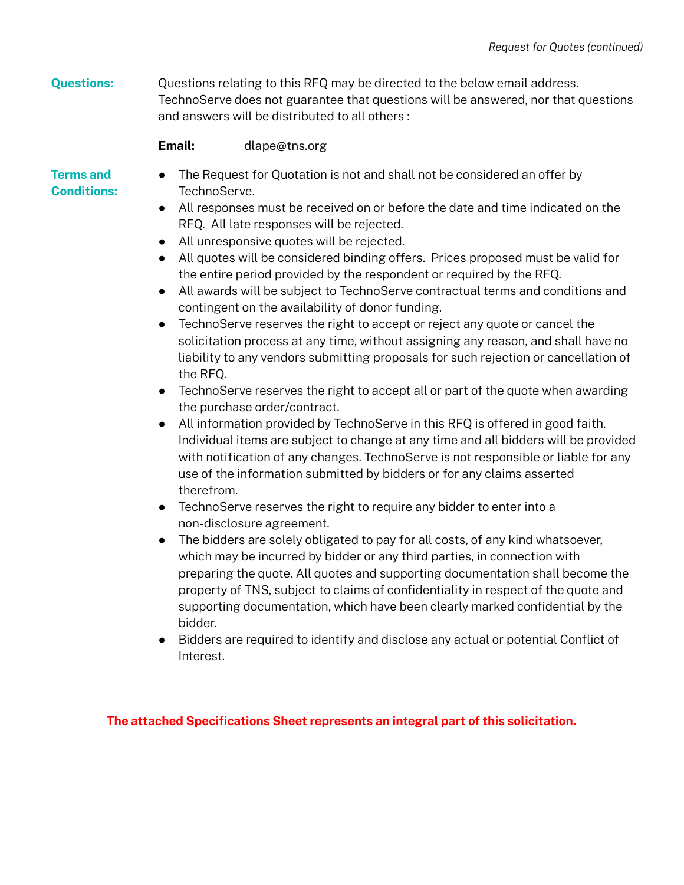**Questions:** Questions relating to this RFQ may be directed to the below email address. TechnoServe does not guarantee that questions will be answered, nor that questions and answers will be distributed to all others :

#### **Email:** dlape@tns.org

# **Terms and Conditions:**

- The Request for Quotation is not and shall not be considered an offer by TechnoServe.
- All responses must be received on or before the date and time indicated on the RFQ. All late responses will be rejected.
- All unresponsive quotes will be rejected.
- All quotes will be considered binding offers. Prices proposed must be valid for the entire period provided by the respondent or required by the RFQ.
- All awards will be subject to TechnoServe contractual terms and conditions and contingent on the availability of donor funding.
- TechnoServe reserves the right to accept or reject any quote or cancel the solicitation process at any time, without assigning any reason, and shall have no liability to any vendors submitting proposals for such rejection or cancellation of the RFQ.
- TechnoServe reserves the right to accept all or part of the quote when awarding the purchase order/contract.
- All information provided by TechnoServe in this RFQ is offered in good faith. Individual items are subject to change at any time and all bidders will be provided with notification of any changes. TechnoServe is not responsible or liable for any use of the information submitted by bidders or for any claims asserted therefrom.
- TechnoServe reserves the right to require any bidder to enter into a non-disclosure agreement.
- The bidders are solely obligated to pay for all costs, of any kind whatsoever, which may be incurred by bidder or any third parties, in connection with preparing the quote. All quotes and supporting documentation shall become the property of TNS, subject to claims of confidentiality in respect of the quote and supporting documentation, which have been clearly marked confidential by the bidder.
- Bidders are required to identify and disclose any actual or potential Conflict of Interest.

**The attached Specifications Sheet represents an integral part of this solicitation.**